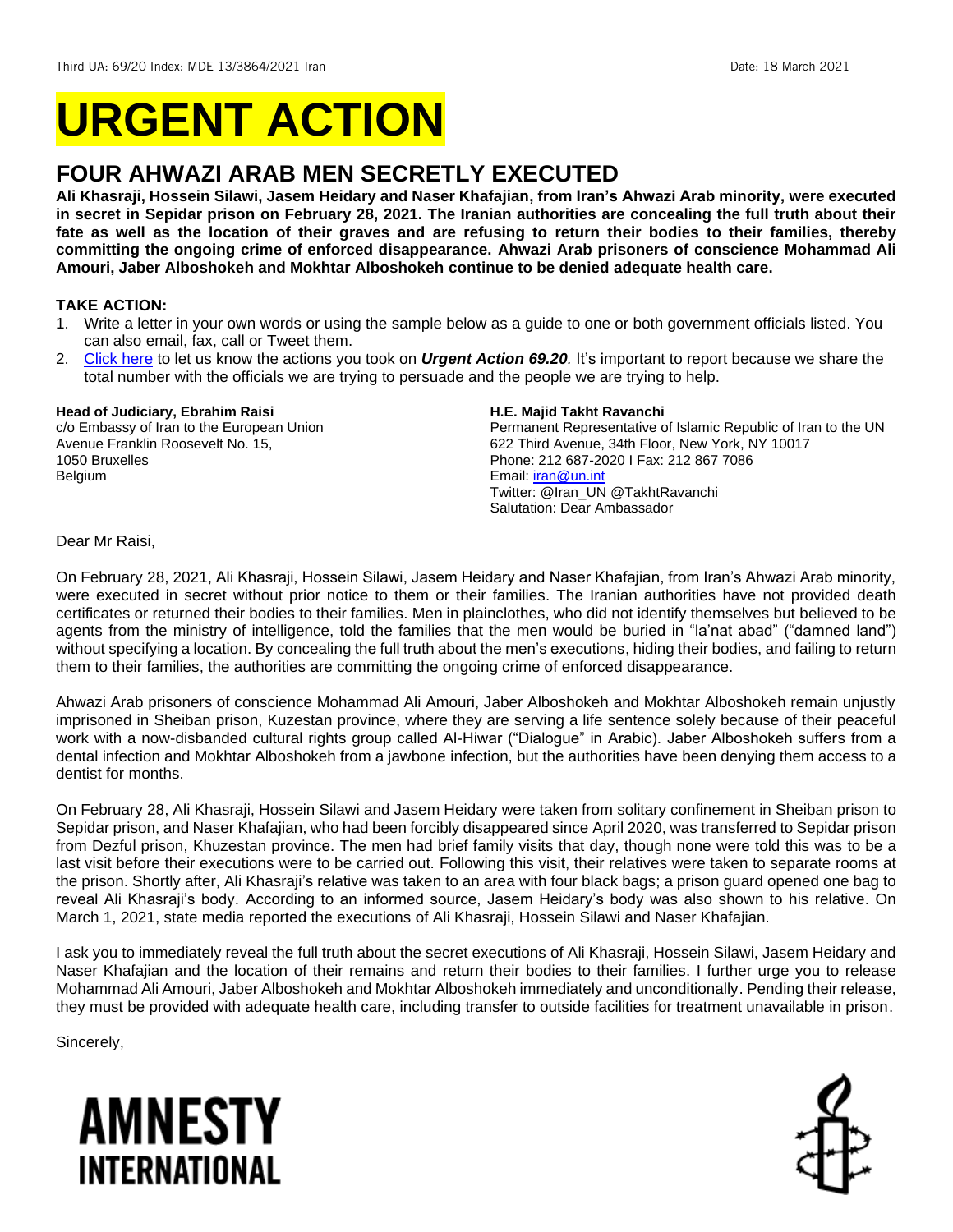# **URGENT ACTION**

# **FOUR AHWAZI ARAB MEN SECRETLY EXECUTED**

**Ali Khasraji, Hossein Silawi, Jasem Heidary and Naser Khafajian, from Iran's Ahwazi Arab minority, were executed in secret in Sepidar prison on February 28, 2021. The Iranian authorities are concealing the full truth about their fate as well as the location of their graves and are refusing to return their bodies to their families, thereby committing the ongoing crime of enforced disappearance. Ahwazi Arab prisoners of conscience Mohammad Ali Amouri, Jaber Alboshokeh and Mokhtar Alboshokeh continue to be denied adequate health care.**

# **TAKE ACTION:**

- 1. Write a letter in your own words or using the sample below as a guide to one or both government officials listed. You can also email, fax, call or Tweet them.
- 2. [Click here](https://www.amnestyusa.org/report-urgent-actions/) to let us know the actions you took on *Urgent Action 69.20.* It's important to report because we share the total number with the officials we are trying to persuade and the people we are trying to help.

#### **Head of Judiciary, Ebrahim Raisi**

c/o Embassy of Iran to the European Union Avenue Franklin Roosevelt No. 15, 1050 Bruxelles Belgium

#### **H.E. Majid Takht Ravanchi**

Permanent Representative of Islamic Republic of Iran to the UN 622 Third Avenue, 34th Floor, New York, NY 10017 Phone: 212 687-2020 I Fax: 212 867 7086 Email[: iran@un.int](mailto:iran@un.int) Twitter: @Iran\_UN @TakhtRavanchi Salutation: Dear Ambassador

Dear Mr Raisi,

On February 28, 2021, Ali Khasraji, Hossein Silawi, Jasem Heidary and Naser Khafajian, from Iran's Ahwazi Arab minority, were executed in secret without prior notice to them or their families. The Iranian authorities have not provided death certificates or returned their bodies to their families. Men in plainclothes, who did not identify themselves but believed to be agents from the ministry of intelligence, told the families that the men would be buried in "la'nat abad" ("damned land") without specifying a location. By concealing the full truth about the men's executions, hiding their bodies, and failing to return them to their families, the authorities are committing the ongoing crime of enforced disappearance.

Ahwazi Arab prisoners of conscience Mohammad Ali Amouri, Jaber Alboshokeh and Mokhtar Alboshokeh remain unjustly imprisoned in Sheiban prison, Kuzestan province, where they are serving a life sentence solely because of their peaceful work with a now-disbanded cultural rights group called Al-Hiwar ("Dialogue" in Arabic). Jaber Alboshokeh suffers from a dental infection and Mokhtar Alboshokeh from a jawbone infection, but the authorities have been denying them access to a dentist for months.

On February 28, Ali Khasraji, Hossein Silawi and Jasem Heidary were taken from solitary confinement in Sheiban prison to Sepidar prison, and Naser Khafajian, who had been forcibly disappeared since April 2020, was transferred to Sepidar prison from Dezful prison, Khuzestan province. The men had brief family visits that day, though none were told this was to be a last visit before their executions were to be carried out. Following this visit, their relatives were taken to separate rooms at the prison. Shortly after, Ali Khasraji's relative was taken to an area with four black bags; a prison guard opened one bag to reveal Ali Khasraji's body. According to an informed source, Jasem Heidary's body was also shown to his relative. On March 1, 2021, state media reported the executions of Ali Khasraji, Hossein Silawi and Naser Khafajian.

I ask you to immediately reveal the full truth about the secret executions of Ali Khasraji, Hossein Silawi, Jasem Heidary and Naser Khafajian and the location of their remains and return their bodies to their families. I further urge you to release Mohammad Ali Amouri, Jaber Alboshokeh and Mokhtar Alboshokeh immediately and unconditionally. Pending their release, they must be provided with adequate health care, including transfer to outside facilities for treatment unavailable in prison.

Sincerely,